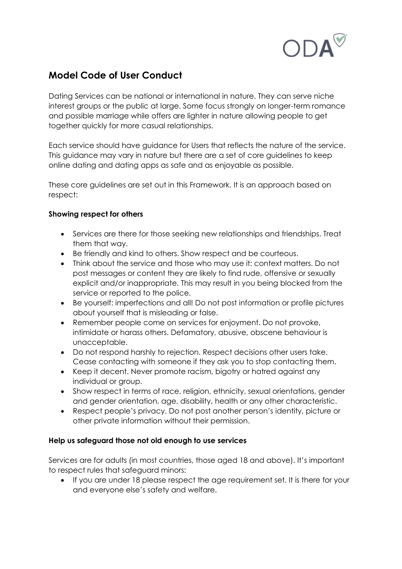

## **Model Code of User Conduct**

Dating Services can be national or international in nature. They can serve niche interest groups or the public at large. Some focus strongly on longer-term romance and possible marriage while offers are lighter in nature allowing people to get together quickly for more casual relationships.

Each service should have guidance for Users that reflects the nature of the service. This guidance may vary in nature but there are a set of core guidelines to keep online dating and dating apps as safe and as enjoyable as possible.

These core guidelines are set out in this Framework. It is an approach based on respect:

## **Showing respect for others**

- Services are there for those seeking new relationships and friendships. Treat them that way.
- Be friendly and kind to others. Show respect and be courteous.
- Think about the service and those who may use it: context matters. Do not post messages or content they are likely to find rude, offensive or sexually explicit and/or inappropriate. This may result in you being blocked from the service or reported to the police.
- Be yourself: imperfections and all! Do not post information or profile pictures about yourself that is misleading or false.
- Remember people come on services for enjoyment. Do not provoke, intimidate or harass others. Defamatory, abusive, obscene behaviour is unacceptable.
- Do not respond harshly to rejection. Respect decisions other users take. Cease contacting with someone if they ask you to stop contacting them.
- Keep it decent. Never promote racism, bigotry or hatred against any individual or group.
- Show respect in terms of race, religion, ethnicity, sexual orientations, gender and gender orientation, age, disability, health or any other characteristic.
- Respect people's privacy. Do not post another person's identity, picture or other private information without their permission.

## **Help us safeguard those not old enough to use services**

Services are for adults (in most countries, those aged 18 and above). It's important to respect rules that safeguard minors:

• If you are under 18 please respect the age requirement set. It is there for your and everyone else's safety and welfare.